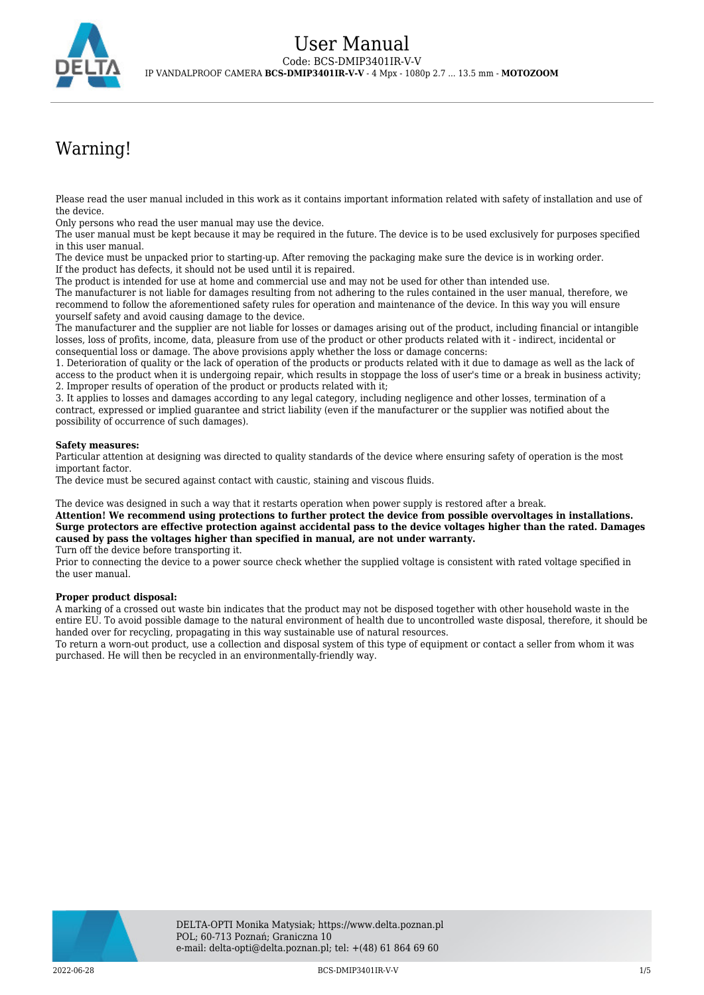

# Warning!

Please read the user manual included in this work as it contains important information related with safety of installation and use of the device.

Only persons who read the user manual may use the device.

The user manual must be kept because it may be required in the future. The device is to be used exclusively for purposes specified in this user manual.

The device must be unpacked prior to starting-up. After removing the packaging make sure the device is in working order. If the product has defects, it should not be used until it is repaired.

The product is intended for use at home and commercial use and may not be used for other than intended use.

The manufacturer is not liable for damages resulting from not adhering to the rules contained in the user manual, therefore, we recommend to follow the aforementioned safety rules for operation and maintenance of the device. In this way you will ensure yourself safety and avoid causing damage to the device.

The manufacturer and the supplier are not liable for losses or damages arising out of the product, including financial or intangible losses, loss of profits, income, data, pleasure from use of the product or other products related with it - indirect, incidental or consequential loss or damage. The above provisions apply whether the loss or damage concerns:

1. Deterioration of quality or the lack of operation of the products or products related with it due to damage as well as the lack of access to the product when it is undergoing repair, which results in stoppage the loss of user's time or a break in business activity; 2. Improper results of operation of the product or products related with it;

3. It applies to losses and damages according to any legal category, including negligence and other losses, termination of a contract, expressed or implied guarantee and strict liability (even if the manufacturer or the supplier was notified about the possibility of occurrence of such damages).

### **Safety measures:**

Particular attention at designing was directed to quality standards of the device where ensuring safety of operation is the most important factor.

The device must be secured against contact with caustic, staining and viscous fluids.

The device was designed in such a way that it restarts operation when power supply is restored after a break.

**Attention! We recommend using protections to further protect the device from possible overvoltages in installations. Surge protectors are effective protection against accidental pass to the device voltages higher than the rated. Damages caused by pass the voltages higher than specified in manual, are not under warranty.**

Turn off the device before transporting it.

Prior to connecting the device to a power source check whether the supplied voltage is consistent with rated voltage specified in the user manual.

### **Proper product disposal:**

A marking of a crossed out waste bin indicates that the product may not be disposed together with other household waste in the entire EU. To avoid possible damage to the natural environment of health due to uncontrolled waste disposal, therefore, it should be handed over for recycling, propagating in this way sustainable use of natural resources.

To return a worn-out product, use a collection and disposal system of this type of equipment or contact a seller from whom it was purchased. He will then be recycled in an environmentally-friendly way.

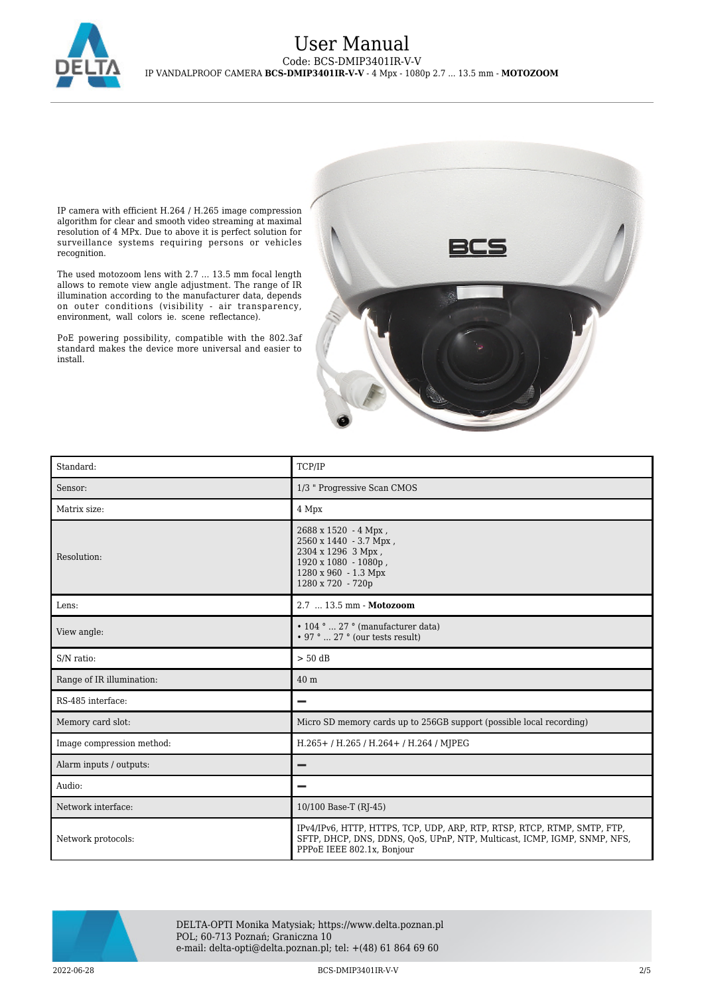

## User Manual Code: BCS-DMIP3401IR-V-V IP VANDALPROOF CAMERA **BCS-DMIP3401IR-V-V** - 4 Mpx - 1080p 2.7 ... 13.5 mm - **MOTOZOOM**

IP camera with efficient H.264 / H.265 image compression algorithm for clear and smooth video streaming at maximal resolution of 4 MPx. Due to above it is perfect solution for surveillance systems requiring persons or vehicles recognition.

The used motozoom lens with 2.7 ... 13.5 mm focal length allows to remote view angle adjustment. The range of IR illumination according to the manufacturer data, depends on outer conditions (visibility - air transparency, environment, wall colors ie. scene reflectance).

PoE powering possibility, compatible with the 802.3af standard makes the device more universal and easier to install.



| Standard:                 | TCP/IP                                                                                                                                                                             |
|---------------------------|------------------------------------------------------------------------------------------------------------------------------------------------------------------------------------|
| Sensor:                   | 1/3 " Progressive Scan CMOS                                                                                                                                                        |
| Matrix size:              | 4 Mpx                                                                                                                                                                              |
| Resolution:               | 2688 x 1520 - 4 Mpx,<br>2560 x 1440 - 3.7 Mpx,<br>2304 x 1296 3 Mpx,<br>1920 x 1080 - 1080p,<br>1280 x 960 - 1.3 Mpx<br>1280 x 720 - 720p                                          |
| Lens:                     | 2.7  13.5 mm - Motozoom                                                                                                                                                            |
| View angle:               | $\cdot$ 104 °  27 ° (manufacturer data)<br>$\cdot$ 97 °  27 ° (our tests result)                                                                                                   |
| S/N ratio:                | $> 50$ dB                                                                                                                                                                          |
| Range of IR illumination: | 40 m                                                                                                                                                                               |
| RS-485 interface:         |                                                                                                                                                                                    |
| Memory card slot:         | Micro SD memory cards up to 256GB support (possible local recording)                                                                                                               |
| Image compression method: | H.265+/H.265/H.264+/H.264/MJPEG                                                                                                                                                    |
| Alarm inputs / outputs:   |                                                                                                                                                                                    |
| Audio:                    |                                                                                                                                                                                    |
| Network interface:        | 10/100 Base-T (RJ-45)                                                                                                                                                              |
| Network protocols:        | IPv4/IPv6, HTTP, HTTPS, TCP, UDP, ARP, RTP, RTSP, RTCP, RTMP, SMTP, FTP,<br>SFTP, DHCP, DNS, DDNS, QoS, UPnP, NTP, Multicast, ICMP, IGMP, SNMP, NFS,<br>PPPoE IEEE 802.1x, Bonjour |



DELTA-OPTI Monika Matysiak; https://www.delta.poznan.pl POL; 60-713 Poznań; Graniczna 10 e-mail: delta-opti@delta.poznan.pl; tel: +(48) 61 864 69 60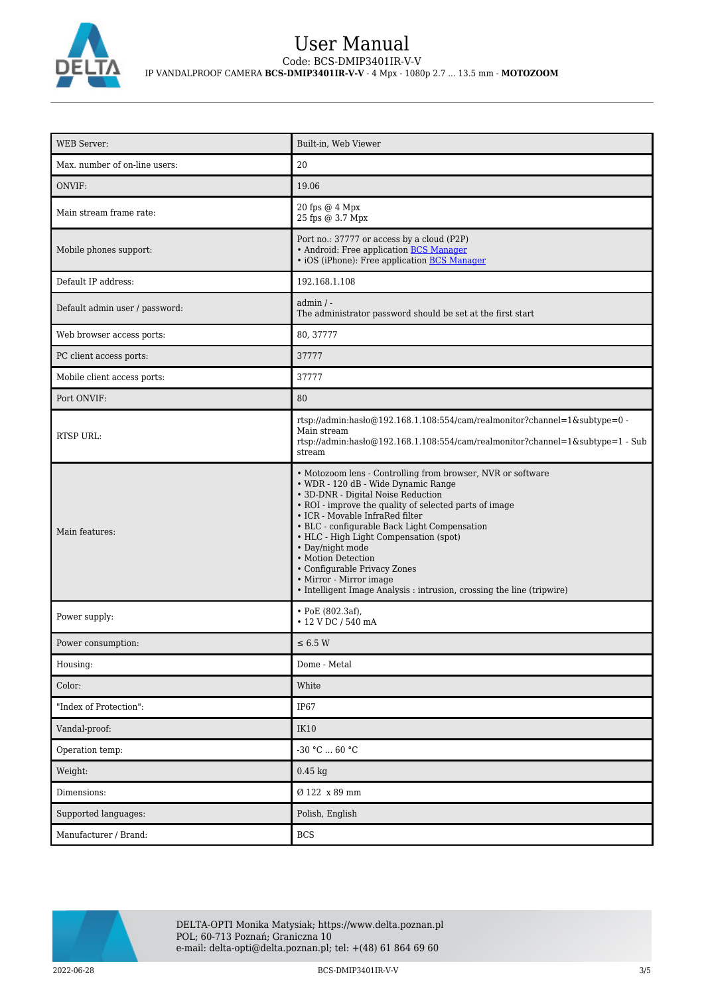

# User Manual Code: BCS-DMIP3401IR-V-V IP VANDALPROOF CAMERA **BCS-DMIP3401IR-V-V** - 4 Mpx - 1080p 2.7 ... 13.5 mm - **MOTOZOOM**

| <b>WEB Server:</b>             | Built-in, Web Viewer                                                                                                                                                                                                                                                                                                                                                                                                                                                                                           |
|--------------------------------|----------------------------------------------------------------------------------------------------------------------------------------------------------------------------------------------------------------------------------------------------------------------------------------------------------------------------------------------------------------------------------------------------------------------------------------------------------------------------------------------------------------|
| Max. number of on-line users:  | 20                                                                                                                                                                                                                                                                                                                                                                                                                                                                                                             |
| ONVIF:                         | 19.06                                                                                                                                                                                                                                                                                                                                                                                                                                                                                                          |
| Main stream frame rate:        | 20 fps @ 4 Mpx<br>25 fps @ 3.7 Mpx                                                                                                                                                                                                                                                                                                                                                                                                                                                                             |
| Mobile phones support:         | Port no.: 37777 or access by a cloud (P2P)<br>• Android: Free application BCS Manager<br>• iOS (iPhone): Free application <b>BCS Manager</b>                                                                                                                                                                                                                                                                                                                                                                   |
| Default IP address:            | 192.168.1.108                                                                                                                                                                                                                                                                                                                                                                                                                                                                                                  |
| Default admin user / password: | $admin / -$<br>The administrator password should be set at the first start                                                                                                                                                                                                                                                                                                                                                                                                                                     |
| Web browser access ports:      | 80, 37777                                                                                                                                                                                                                                                                                                                                                                                                                                                                                                      |
| PC client access ports:        | 37777                                                                                                                                                                                                                                                                                                                                                                                                                                                                                                          |
| Mobile client access ports:    | 37777                                                                                                                                                                                                                                                                                                                                                                                                                                                                                                          |
| Port ONVIF:                    | 80                                                                                                                                                                                                                                                                                                                                                                                                                                                                                                             |
| RTSP URL:                      | rtsp://admin:hasło@192.168.1.108:554/cam/realmonitor?channel=1&subtype=0 -<br>Main stream<br>rtsp://admin.hasho@192.168.1.108:554/cam/realmonitor?channel=1&subtype=1 - Sub<br>stream                                                                                                                                                                                                                                                                                                                          |
| Main features:                 | • Motozoom lens - Controlling from browser, NVR or software<br>• WDR - 120 dB - Wide Dynamic Range<br>• 3D-DNR - Digital Noise Reduction<br>• ROI - improve the quality of selected parts of image<br>• ICR - Movable InfraRed filter<br>• BLC - configurable Back Light Compensation<br>• HLC - High Light Compensation (spot)<br>• Day/night mode<br>• Motion Detection<br>• Configurable Privacy Zones<br>• Mirror - Mirror image<br>• Intelligent Image Analysis : intrusion, crossing the line (tripwire) |
| Power supply:                  | • PoE (802.3af),<br>• 12 V DC / 540 mA                                                                                                                                                                                                                                                                                                                                                                                                                                                                         |
| Power consumption:             | $\leq 6.5$ W                                                                                                                                                                                                                                                                                                                                                                                                                                                                                                   |
| Housing:                       | Dome - Metal                                                                                                                                                                                                                                                                                                                                                                                                                                                                                                   |
| Color:                         | White                                                                                                                                                                                                                                                                                                                                                                                                                                                                                                          |
| "Index of Protection":         | IP67                                                                                                                                                                                                                                                                                                                                                                                                                                                                                                           |
| Vandal-proof:                  | IK10                                                                                                                                                                                                                                                                                                                                                                                                                                                                                                           |
| Operation temp:                | -30 °C $\ldots$ 60 °C                                                                                                                                                                                                                                                                                                                                                                                                                                                                                          |
| Weight:                        | $0.45$ kg                                                                                                                                                                                                                                                                                                                                                                                                                                                                                                      |
| Dimensions:                    | Ø 122 x 89 mm                                                                                                                                                                                                                                                                                                                                                                                                                                                                                                  |
| Supported languages:           | Polish, English                                                                                                                                                                                                                                                                                                                                                                                                                                                                                                |
| Manufacturer / Brand:          | <b>BCS</b>                                                                                                                                                                                                                                                                                                                                                                                                                                                                                                     |

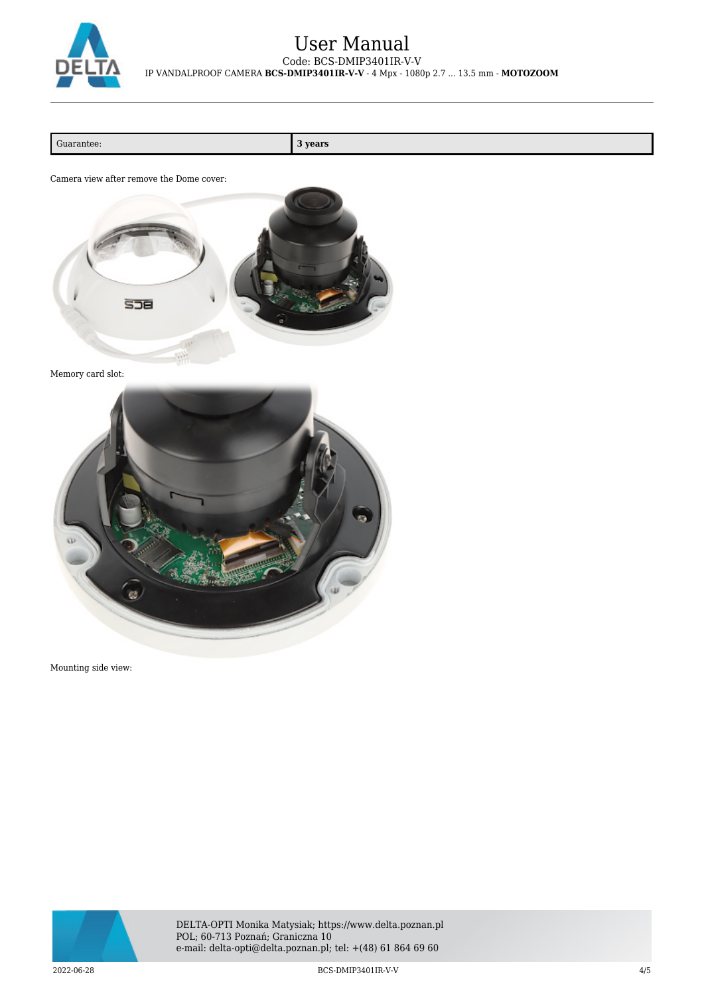

## User Manual Code: BCS-DMIP3401IR-V-V IP VANDALPROOF CAMERA **BCS-DMIP3401IR-V-V** - 4 Mpx - 1080p 2.7 ... 13.5 mm - **MOTOZOOM**

Guarantee: **3 years**

Camera view after remove the Dome cover:



Memory card slot:



Mounting side view:



DELTA-OPTI Monika Matysiak; https://www.delta.poznan.pl POL; 60-713 Poznań; Graniczna 10 e-mail: delta-opti@delta.poznan.pl; tel: +(48) 61 864 69 60

2022-06-28 BCS-DMIP3401IR-V-V 4/5